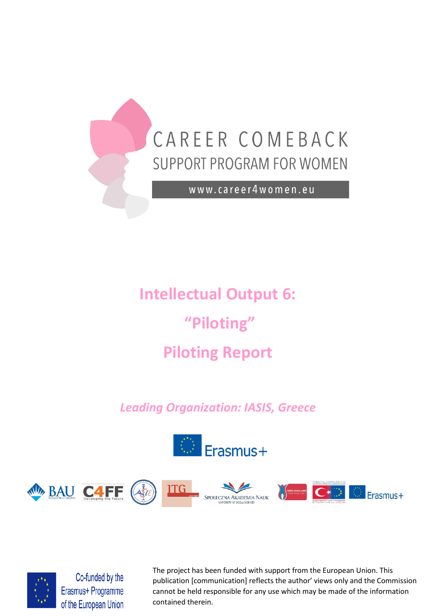

# **Intellectual Output 6: "Piloting" Piloting Report**

# *Leading Organization: IASIS, Greece*







Co-funded by the Erasmus+ Programme of the European Union

The project has been funded with support from the European Union. This publication [communication] reflects the author' views only and the Commission cannot be held responsible for any use which may be made of the information contained therein.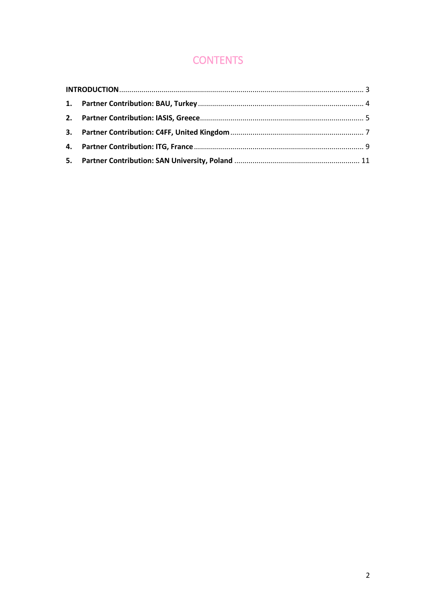# **CONTENTS**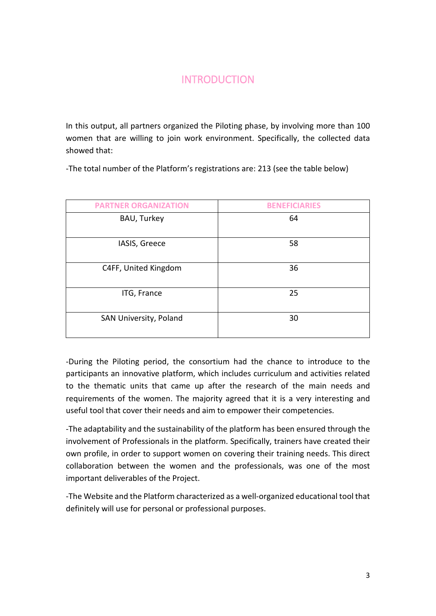# **INTRODUCTION**

<span id="page-2-0"></span>In this output, all partners organized the Piloting phase, by involving more than 100 women that are willing to join work environment. Specifically, the collected data showed that:

-The total number of the Platform's registrations are: 213 (see the table below)

| <b>PARTNER ORGANIZATION</b> | <b>BENEFICIARIES</b> |
|-----------------------------|----------------------|
| BAU, Turkey                 | 64                   |
| IASIS, Greece               | 58                   |
| C4FF, United Kingdom        | 36                   |
| ITG, France                 | 25                   |
| SAN University, Poland      | 30                   |

-During the Piloting period, the consortium had the chance to introduce to the participants an innovative platform, which includes curriculum and activities related to the thematic units that came up after the research of the main needs and requirements of the women. The majority agreed that it is a very interesting and useful tool that cover their needs and aim to empower their competencies.

-The adaptability and the sustainability of the platform has been ensured through the involvement of Professionals in the platform. Specifically, trainers have created their own profile, in order to support women on covering their training needs. This direct collaboration between the women and the professionals, was one of the most important deliverables of the Project.

-The Website and the Platform characterized as a well-organized educational tool that definitely will use for personal or professional purposes.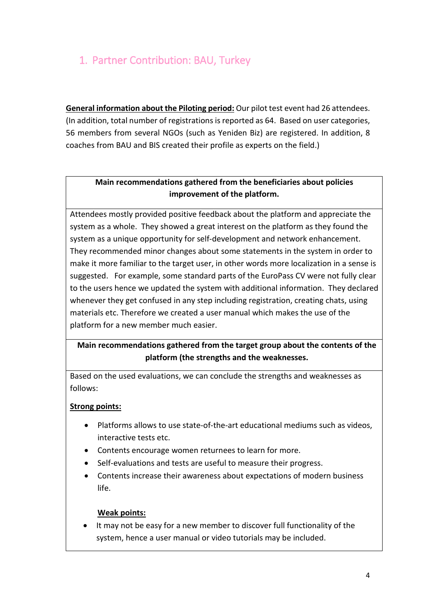# <span id="page-3-0"></span>1. Partner Contribution: BAU, Turkey

**General information about the Piloting period:** Our pilot test event had 26 attendees. (In addition, total number of registrations is reported as 64. Based on user categories, 56 members from several NGOs (such as Yeniden Biz) are registered. In addition, 8 coaches from BAU and BIS created their profile as experts on the field.)

## **Main recommendations gathered from the beneficiaries about policies improvement of the platform.**

Attendees mostly provided positive feedback about the platform and appreciate the system as a whole. They showed a great interest on the platform as they found the system as a unique opportunity for self-development and network enhancement. They recommended minor changes about some statements in the system in order to make it more familiar to the target user, in other words more localization in a sense is suggested. For example, some standard parts of the EuroPass CV were not fully clear to the users hence we updated the system with additional information. They declared whenever they get confused in any step including registration, creating chats, using materials etc. Therefore we created a user manual which makes the use of the platform for a new member much easier.

## **Main recommendations gathered from the target group about the contents of the platform (the strengths and the weaknesses.**

Based on the used evaluations, we can conclude the strengths and weaknesses as follows:

## **Strong points:**

- Platforms allows to use state-of-the-art educational mediums such as videos, interactive tests etc.
- Contents encourage women returnees to learn for more.
- Self-evaluations and tests are useful to measure their progress.
- Contents increase their awareness about expectations of modern business life.

#### **Weak points:**

• It may not be easy for a new member to discover full functionality of the system, hence a user manual or video tutorials may be included.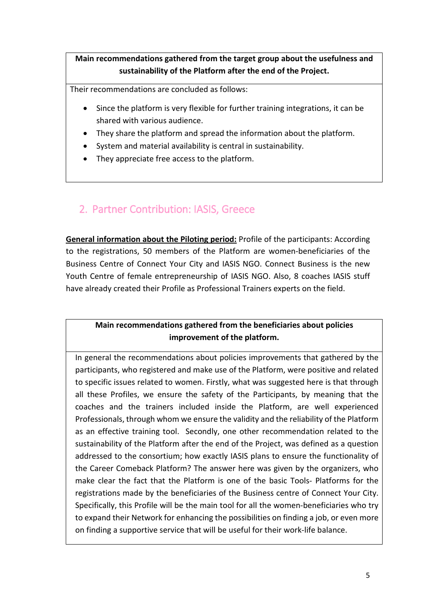## **Main recommendations gathered from the target group about the usefulness and sustainability of the Platform after the end of the Project.**

Their recommendations are concluded as follows:

- Since the platform is very flexible for further training integrations, it can be shared with various audience.
- They share the platform and spread the information about the platform.
- System and material availability is central in sustainability.
- They appreciate free access to the platform.

# <span id="page-4-0"></span>2. Partner Contribution: IASIS, Greece

**General information about the Piloting period:** Profile of the participants: According to the registrations, 50 members of the Platform are women-beneficiaries of the Business Centre of Connect Your City and IASIS NGO. Connect Business is the new Youth Centre of female entrepreneurship of IASIS NGO. Also, 8 coaches IASIS stuff have already created their Profile as Professional Trainers experts on the field.

## **Main recommendations gathered from the beneficiaries about policies improvement of the platform.**

In general the recommendations about policies improvements that gathered by the participants, who registered and make use of the Platform, were positive and related to specific issues related to women. Firstly, what was suggested here is that through all these Profiles, we ensure the safety of the Participants, by meaning that the coaches and the trainers included inside the Platform, are well experienced Professionals, through whom we ensure the validity and the reliability of the Platform as an effective training tool. Secondly, one other recommendation related to the sustainability of the Platform after the end of the Project, was defined as a question addressed to the consortium; how exactly IASIS plans to ensure the functionality of the Career Comeback Platform? The answer here was given by the organizers, who make clear the fact that the Platform is one of the basic Tools- Platforms for the registrations made by the beneficiaries of the Business centre of Connect Your City. Specifically, this Profile will be the main tool for all the women-beneficiaries who try to expand their Network for enhancing the possibilities on finding a job, or even more on finding a supportive service that will be useful for their work-life balance.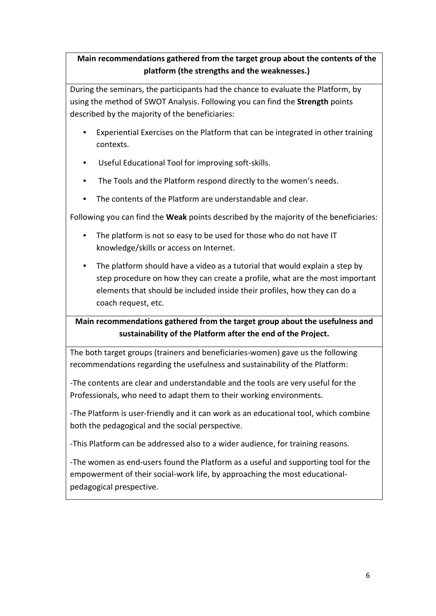## **Main recommendations gathered from the target group about the contents of the platform (the strengths and the weaknesses.)**

During the seminars, the participants had the chance to evaluate the Platform, by using the method of SWOT Analysis. Following you can find the **Strength** points described by the majority of the beneficiaries:

- Experiential Exercises on the Platform that can be integrated in other training contexts.
- Useful Educational Tool for improving soft-skills.
- The Tools and the Platform respond directly to the women's needs.
- The contents of the Platform are understandable and clear.

Following you can find the **Weak** points described by the majority of the beneficiaries:

- The platform is not so easy to be used for those who do not have IT knowledge/skills or access on Internet.
- The platform should have a video as a tutorial that would explain a step by step procedure on how they can create a profile, what are the most important elements that should be included inside their profiles, how they can do a coach request, etc.

# **Main recommendations gathered from the target group about the usefulness and sustainability of the Platform after the end of the Project.**

The both target groups (trainers and beneficiaries-women) gave us the following recommendations regarding the usefulness and sustainability of the Platform:

-The contents are clear and understandable and the tools are very useful for the Professionals, who need to adapt them to their working environments.

-The Platform is user-friendly and it can work as an educational tool, which combine both the pedagogical and the social perspective.

-This Platform can be addressed also to a wider audience, for training reasons.

-The women as end-users found the Platform as a useful and supporting tool for the empowerment of their social-work life, by approaching the most educationalpedagogical prespective.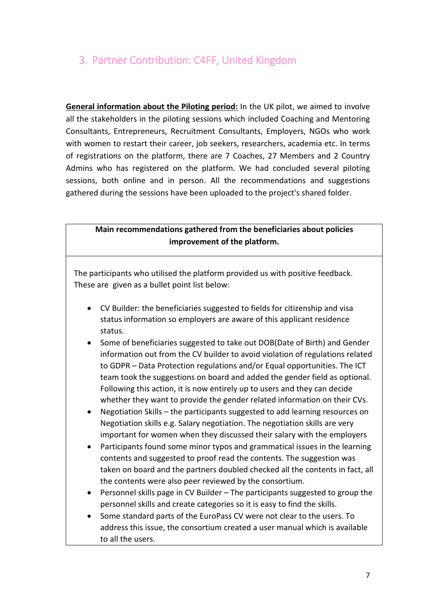# <span id="page-6-0"></span>3. Partner Contribution: C4FF, United Kingdom

**General information about the Piloting period:** In the UK pilot, we aimed to involve all the stakeholders in the piloting sessions which included Coaching and Mentoring Consultants, Entrepreneurs, Recruitment Consultants, Employers, NGOs who work with women to restart their career, job seekers, researchers, academia etc. In terms of registrations on the platform, there are 7 Coaches, 27 Members and 2 Country Admins who has registered on the platform. We had concluded several piloting sessions, both online and in person. All the recommendations and suggestions gathered during the sessions have been uploaded to the project's shared folder.

#### **Main recommendations gathered from the beneficiaries about policies improvement of the platform.**

The participants who utilised the platform provided us with positive feedback. These are given as a bullet point list below:

- CV Builder: the beneficiaries suggested to fields for citizenship and visa status information so employers are aware of this applicant residence status.
- Some of beneficiaries suggested to take out DOB(Date of Birth) and Gender information out from the CV builder to avoid violation of regulations related to GDPR – Data Protection regulations and/or Equal opportunities. The ICT team took the suggestions on board and added the gender field as optional. Following this action, it is now entirely up to users and they can decide whether they want to provide the gender related information on their CVs.
- Negotiation Skills the participants suggested to add learning resources on Negotiation skills e.g. Salary negotiation. The negotiation skills are very important for women when they discussed their salary with the employers
- Participants found some minor typos and grammatical issues in the learning contents and suggested to proof read the contents. The suggestion was taken on board and the partners doubled checked all the contents in fact, all the contents were also peer reviewed by the consortium.
- Personnel skills page in CV Builder The participants suggested to group the personnel skills and create categories so it is easy to find the skills.
- Some standard parts of the EuroPass CV were not clear to the users. To address this issue, the consortium created a user manual which is available to all the users.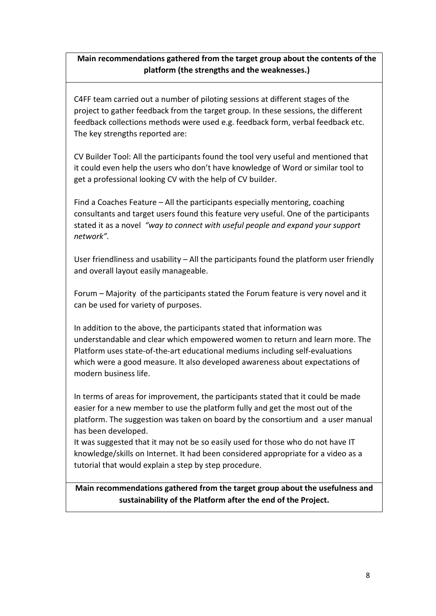## **Main recommendations gathered from the target group about the contents of the platform (the strengths and the weaknesses.)**

C4FF team carried out a number of piloting sessions at different stages of the project to gather feedback from the target group. In these sessions, the different feedback collections methods were used e.g. feedback form, verbal feedback etc. The key strengths reported are:

CV Builder Tool: All the participants found the tool very useful and mentioned that it could even help the users who don't have knowledge of Word or similar tool to get a professional looking CV with the help of CV builder.

Find a Coaches Feature – All the participants especially mentoring, coaching consultants and target users found this feature very useful. One of the participants stated it as a novel *"way to connect with useful people and expand your support network".*

User friendliness and usability – All the participants found the platform user friendly and overall layout easily manageable.

Forum – Majority of the participants stated the Forum feature is very novel and it can be used for variety of purposes.

In addition to the above, the participants stated that information was understandable and clear which empowered women to return and learn more. The Platform uses state-of-the-art educational mediums including self-evaluations which were a good measure. It also developed awareness about expectations of modern business life.

In terms of areas for improvement, the participants stated that it could be made easier for a new member to use the platform fully and get the most out of the platform. The suggestion was taken on board by the consortium and a user manual has been developed.

It was suggested that it may not be so easily used for those who do not have IT knowledge/skills on Internet. It had been considered appropriate for a video as a tutorial that would explain a step by step procedure.

**Main recommendations gathered from the target group about the usefulness and sustainability of the Platform after the end of the Project.**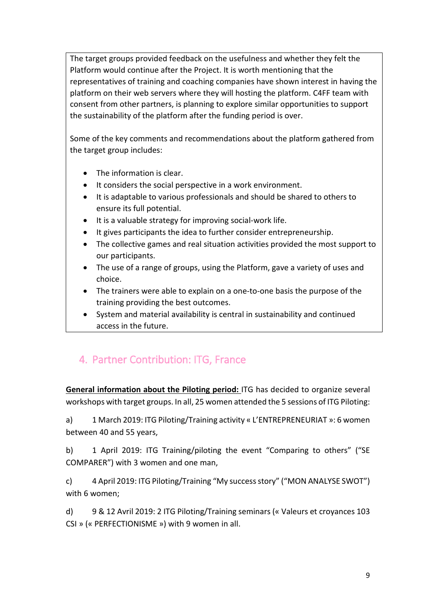The target groups provided feedback on the usefulness and whether they felt the Platform would continue after the Project. It is worth mentioning that the representatives of training and coaching companies have shown interest in having the platform on their web servers where they will hosting the platform. C4FF team with consent from other partners, is planning to explore similar opportunities to support the sustainability of the platform after the funding period is over.

Some of the key comments and recommendations about the platform gathered from the target group includes:

- The information is clear.
- It considers the social perspective in a work environment.
- It is adaptable to various professionals and should be shared to others to ensure its full potential.
- It is a valuable strategy for improving social-work life.
- It gives participants the idea to further consider entrepreneurship.
- The collective games and real situation activities provided the most support to our participants.
- The use of a range of groups, using the Platform, gave a variety of uses and choice.
- The trainers were able to explain on a one-to-one basis the purpose of the training providing the best outcomes.
- System and material availability is central in sustainability and continued access in the future.

# <span id="page-8-0"></span>4. Partner Contribution: ITG, France

**General information about the Piloting period:** ITG has decided to organize several workshops with target groups. In all, 25 women attended the 5 sessions of ITG Piloting:

a) 1 March 2019: ITG Piloting/Training activity « L'ENTREPRENEURIAT »: 6 women between 40 and 55 years,

b) 1 April 2019: ITG Training/piloting the event "Comparing to others" ("SE COMPARER") with 3 women and one man,

c) 4 April 2019: ITG Piloting/Training "My success story" ("MON ANALYSE SWOT") with 6 women;

d) 9 & 12 Avril 2019: 2 ITG Piloting/Training seminars (« Valeurs et croyances 103 CSI » (« PERFECTIONISME ») with 9 women in all.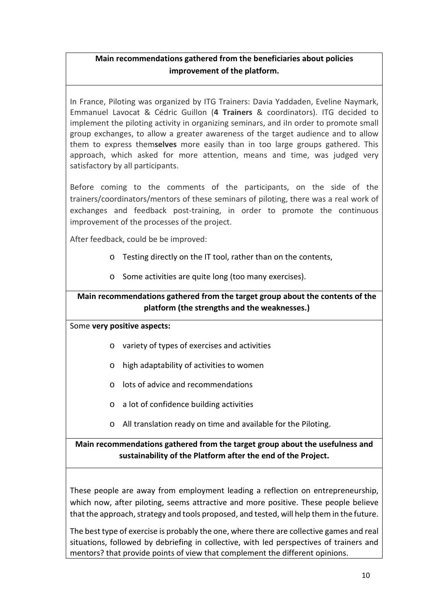## **Main recommendations gathered from the beneficiaries about policies improvement of the platform.**

In France, Piloting was organized by ITG Trainers: Davia Yaddaden, Eveline Naymark, Emmanuel Lavocat & Cédric Guillon (**4 Trainers** & coordinators). ITG decided to implement the piloting activity in organizing seminars, and iIn order to promote small group exchanges, to allow a greater awareness of the target audience and to allow them to express them**selves** more easily than in too large groups gathered. This approach, which asked for more attention, means and time, was judged very satisfactory by all participants.

Before coming to the comments of the participants, on the side of the trainers/coordinators/mentors of these seminars of piloting, there was a real work of exchanges and feedback post-training, in order to promote the continuous improvement of the processes of the project.

After feedback, could be be improved:

- o Testing directly on the IT tool, rather than on the contents,
- o Some activities are quite long (too many exercises).

## **Main recommendations gathered from the target group about the contents of the platform (the strengths and the weaknesses.)**

#### Some **very positive aspects:**

- o variety of types of exercises and activities
- o high adaptability of activities to women
- o lots of advice and recommendations
- o a lot of confidence building activities
- o All translation ready on time and available for the Piloting.

## **Main recommendations gathered from the target group about the usefulness and sustainability of the Platform after the end of the Project.**

These people are away from employment leading a reflection on entrepreneurship, which now, after piloting, seems attractive and more positive. These people believe that the approach, strategy and tools proposed, and tested, will help them in the future.

The best type of exercise is probably the one, where there are collective games and real situations, followed by debriefing in collective, with led perspectives of trainers and mentors? that provide points of view that complement the different opinions.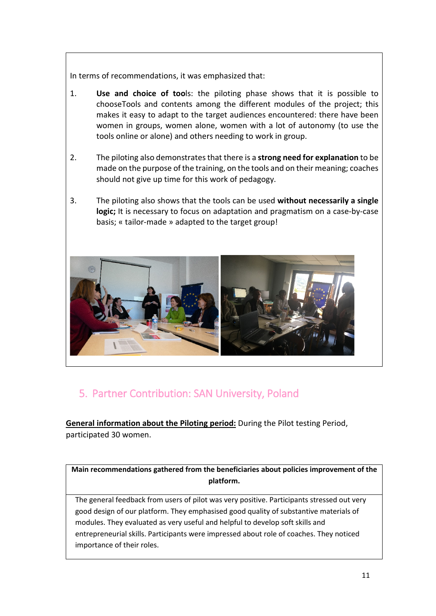In terms of recommendations, it was emphasized that:

- 1. **Use and choice of too**ls: the piloting phase shows that it is possible to chooseTools and contents among the different modules of the project; this makes it easy to adapt to the target audiences encountered: there have been women in groups, women alone, women with a lot of autonomy (to use the tools online or alone) and others needing to work in group.
- 2. The piloting also demonstrates that there is a **strong need for explanation** to be made on the purpose of the training, on the tools and on their meaning; coaches should not give up time for this work of pedagogy.
- 3. The piloting also shows that the tools can be used **without necessarily a single logic;** It is necessary to focus on adaptation and pragmatism on a case-by-case basis; « tailor-made » adapted to the target group!



# <span id="page-10-0"></span>5. Partner Contribution: SAN University, Poland

**General information about the Piloting period:** During the Pilot testing Period, participated 30 women.

**Main recommendations gathered from the beneficiaries about policies improvement of the platform.**

The general feedback from users of pilot was very positive. Participants stressed out very good design of our platform. They emphasised good quality of substantive materials of modules. They evaluated as very useful and helpful to develop soft skills and entrepreneurial skills. Participants were impressed about role of coaches. They noticed importance of their roles.